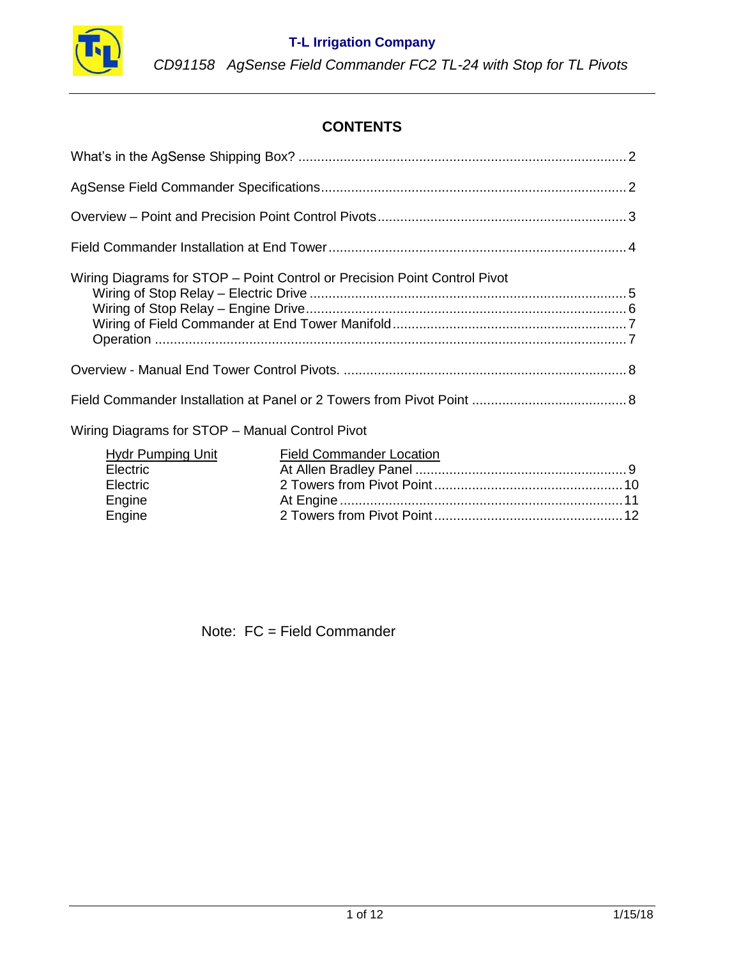

# **CONTENTS**

| Hydr Pumping Unit | Field Commander Location |  |
|-------------------|--------------------------|--|
| Electric          |                          |  |
| Electric          |                          |  |
| Engine            |                          |  |
| Engine            |                          |  |
|                   |                          |  |

Note: FC = Field Commander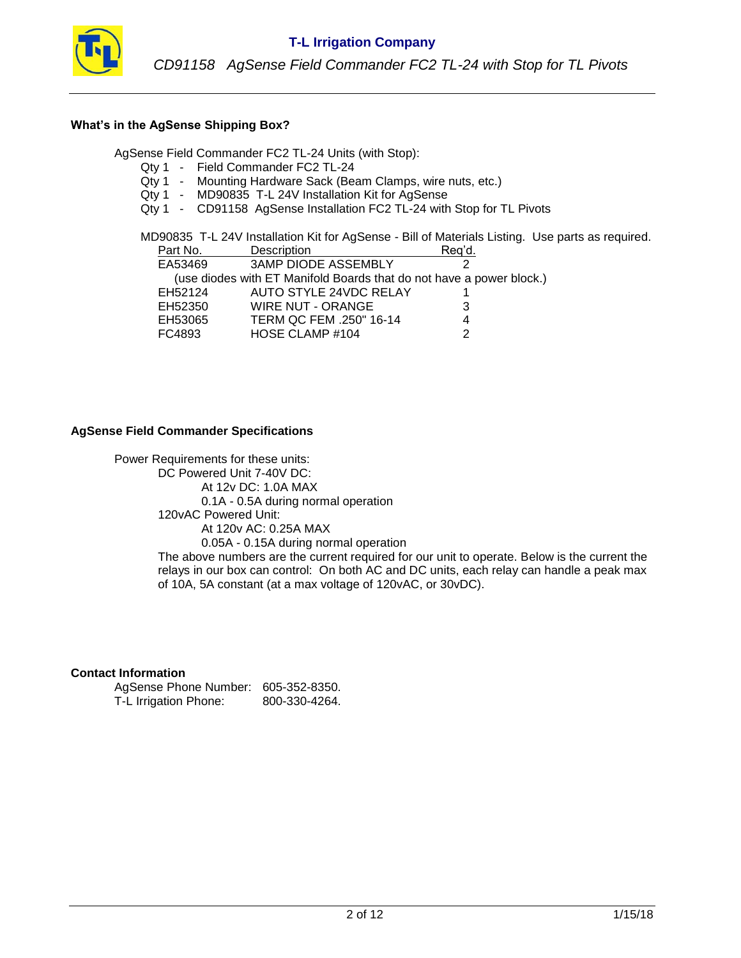

#### **What's in the AgSense Shipping Box?**

AgSense Field Commander FC2 TL-24 Units (with Stop):

- Qty 1 Field Commander FC2 TL-24
- Qty 1 Mounting Hardware Sack (Beam Clamps, wire nuts, etc.)
- Qty 1 MD90835 T-L 24V Installation Kit for AgSense
- Qty 1 CD91158 AgSense Installation FC2 TL-24 with Stop for TL Pivots

MD90835 T-L 24V Installation Kit for AgSense - Bill of Materials Listing. Use parts as required.

| Description                                                          | Reg'd. |
|----------------------------------------------------------------------|--------|
| <b>3AMP DIODE ASSEMBLY</b>                                           |        |
| (use diodes with ET Manifold Boards that do not have a power block.) |        |
| AUTO STYLE 24VDC RELAY                                               |        |
| <b>WIRE NUT - ORANGE</b>                                             |        |
| TERM QC FEM .250" 16-14                                              |        |
| HOSE CLAMP #104                                                      |        |
|                                                                      |        |

#### **AgSense Field Commander Specifications**

Power Requirements for these units: DC Powered Unit 7-40V DC: At 12v DC: 1.0A MAX 0.1A - 0.5A during normal operation 120vAC Powered Unit: At 120v AC: 0.25A MAX 0.05A - 0.15A during normal operation The above numbers are the current required for our unit to operate. Below is the current the relays in our box can control: On both AC and DC units, each relay can handle a peak max of 10A, 5A constant (at a max voltage of 120vAC, or 30vDC).

#### **Contact Information**

| AgSense Phone Number: 605-352-8350. |               |
|-------------------------------------|---------------|
| T-L Irrigation Phone:               | 800-330-4264. |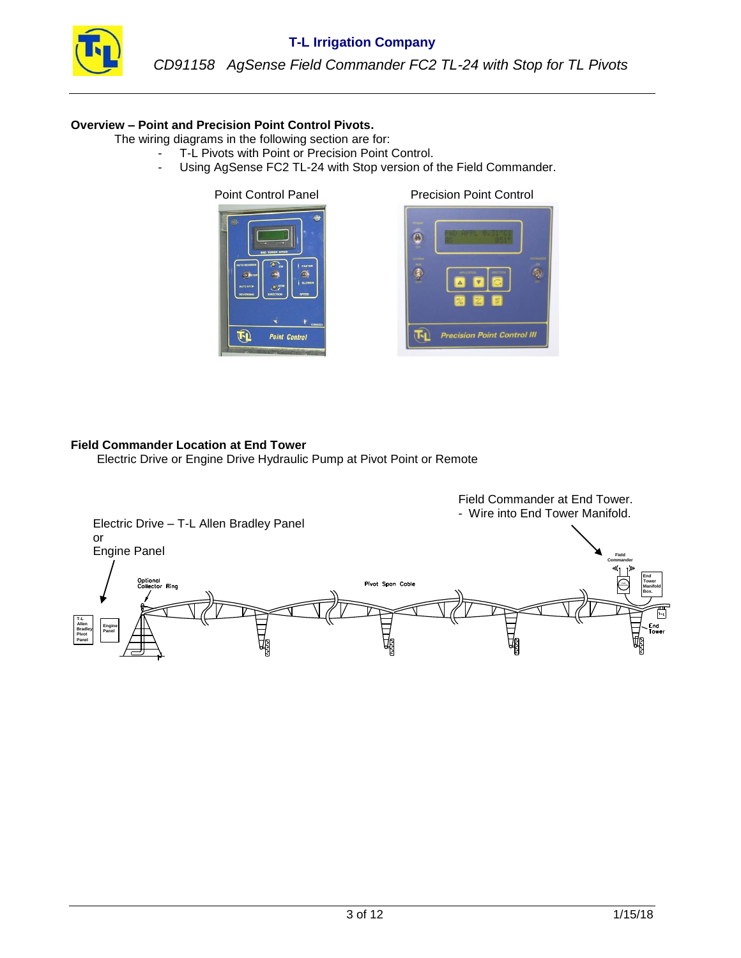

#### **Overview – Point and Precision Point Control Pivots.**

The wiring diagrams in the following section are for:

- T-L Pivots with Point or Precision Point Control.
	- Using AgSense FC2 TL-24 with Stop version of the Field Commander.





#### **Field Commander Location at End Tower**

Electric Drive or Engine Drive Hydraulic Pump at Pivot Point or Remote

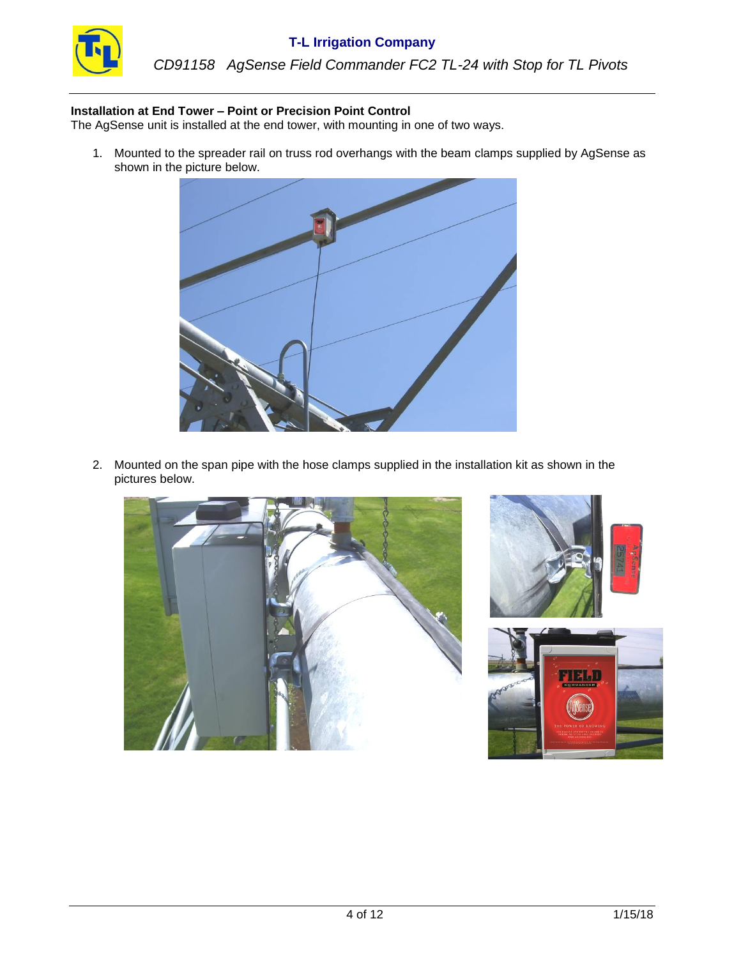

*CD91158 AgSense Field Commander FC2 TL-24 with Stop for TL Pivots*

#### **Installation at End Tower – Point or Precision Point Control**

The AgSense unit is installed at the end tower, with mounting in one of two ways.

1. Mounted to the spreader rail on truss rod overhangs with the beam clamps supplied by AgSense as shown in the picture below.



2. Mounted on the span pipe with the hose clamps supplied in the installation kit as shown in the pictures below.





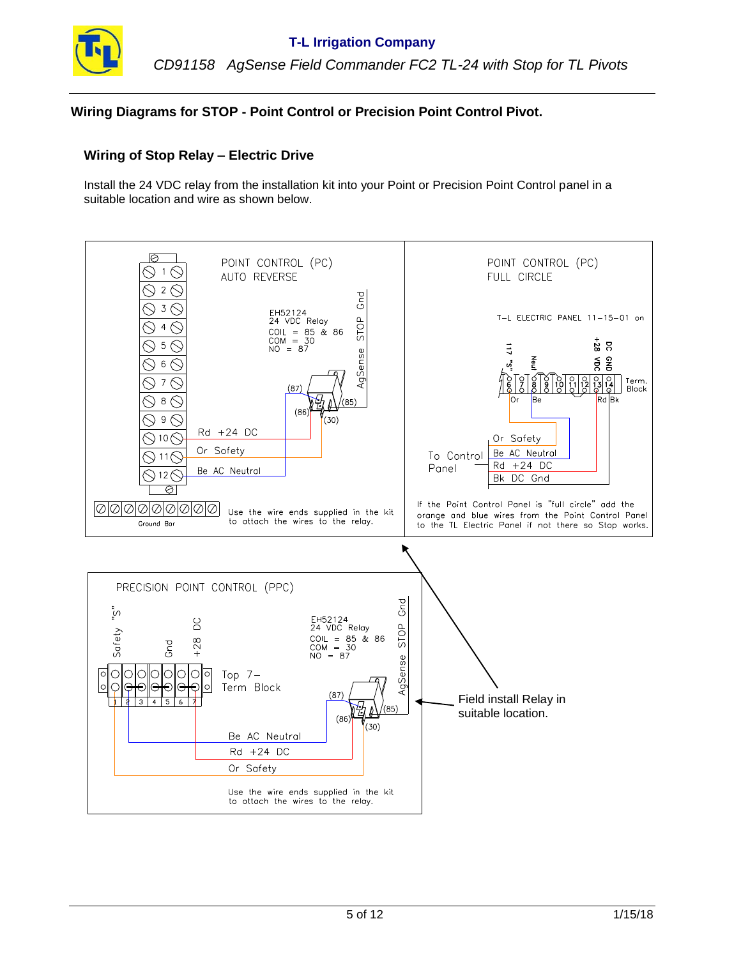

### **Wiring Diagrams for STOP - Point Control or Precision Point Control Pivot.**

### **Wiring of Stop Relay – Electric Drive**

Install the 24 VDC relay from the installation kit into your Point or Precision Point Control panel in a suitable location and wire as shown below.

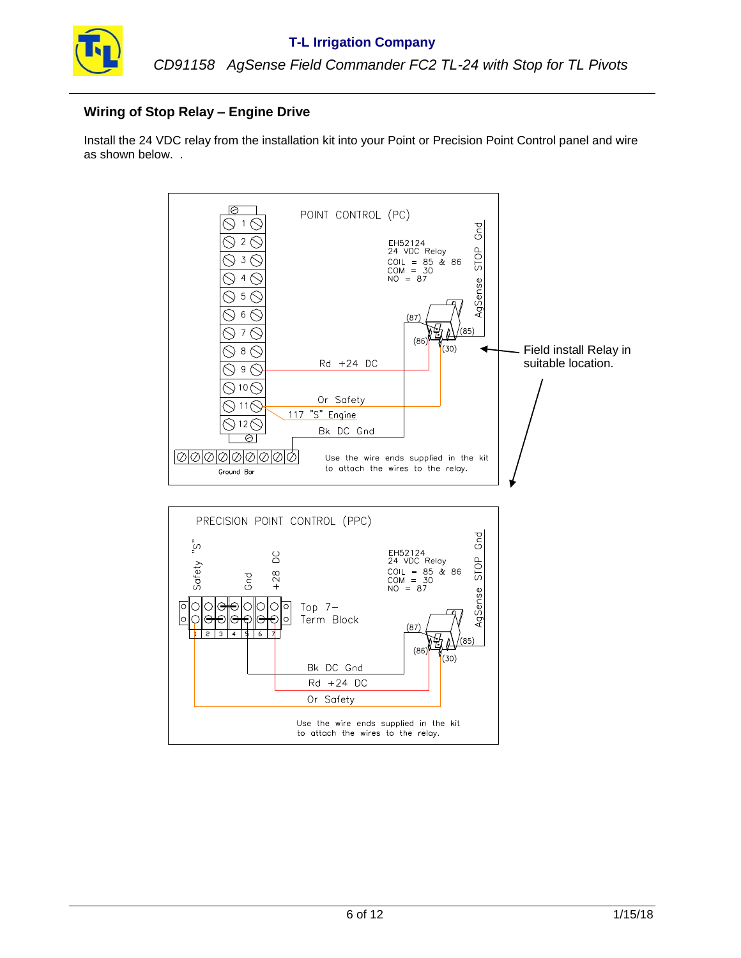

# **Wiring of Stop Relay – Engine Drive**

Install the 24 VDC relay from the installation kit into your Point or Precision Point Control panel and wire as shown below. .

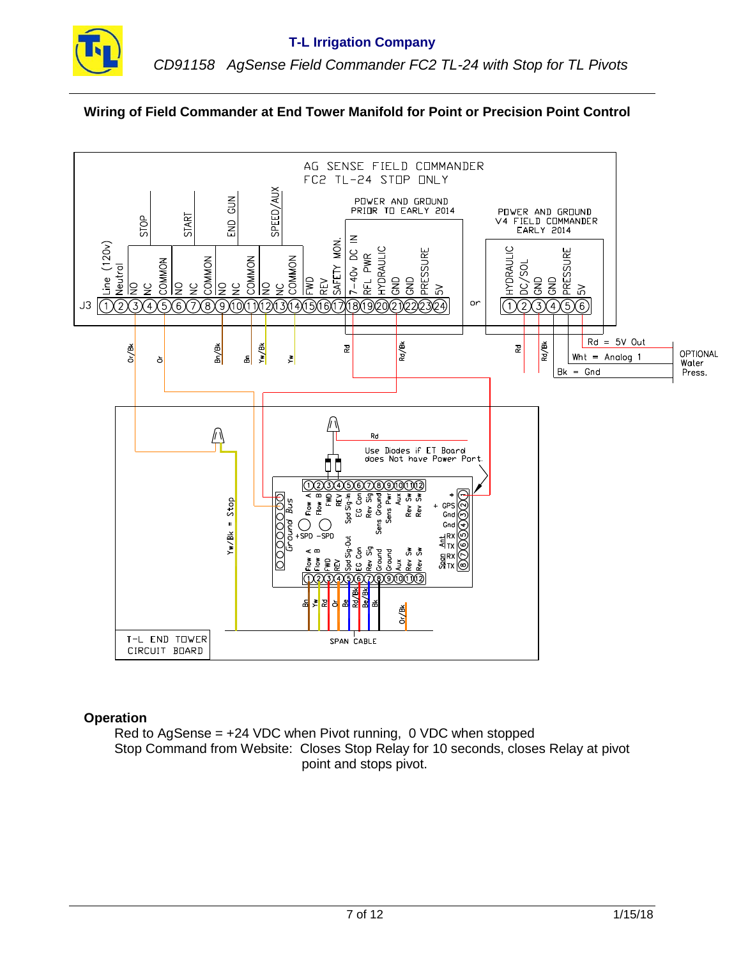

# **Wiring of Field Commander at End Tower Manifold for Point or Precision Point Control**



### **Operation**

Red to AgSense = +24 VDC when Pivot running, 0 VDC when stopped Stop Command from Website: Closes Stop Relay for 10 seconds, closes Relay at pivot point and stops pivot.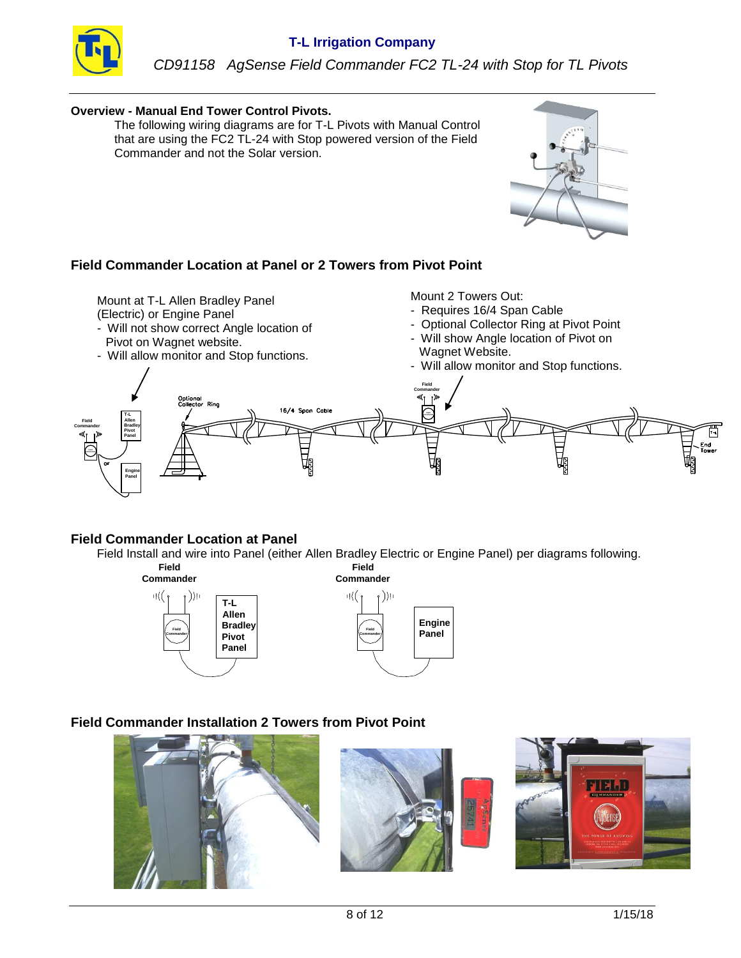

### **Overview - Manual End Tower Control Pivots.**

The following wiring diagrams are for T-L Pivots with Manual Control that are using the FC2 TL-24 with Stop powered version of the Field Commander and not the Solar version.



Mount at T-L Allen Bradley Panel

- (Electric) or Engine Panel
- Will not show correct Angle location of Pivot on Wagnet website.
- Will allow monitor and Stop functions.

Mount 2 Towers Out:

- Requires 16/4 Span Cable
- Optional Collector Ring at Pivot Point
- Will show Angle location of Pivot on Wagnet Website.
- Will allow monitor and Stop functions.



# **Field Commander Location at Panel**

Field Install and wire into Panel (either Allen Bradley Electric or Engine Panel) per diagrams following.





# **Field Commander Installation 2 Towers from Pivot Point**

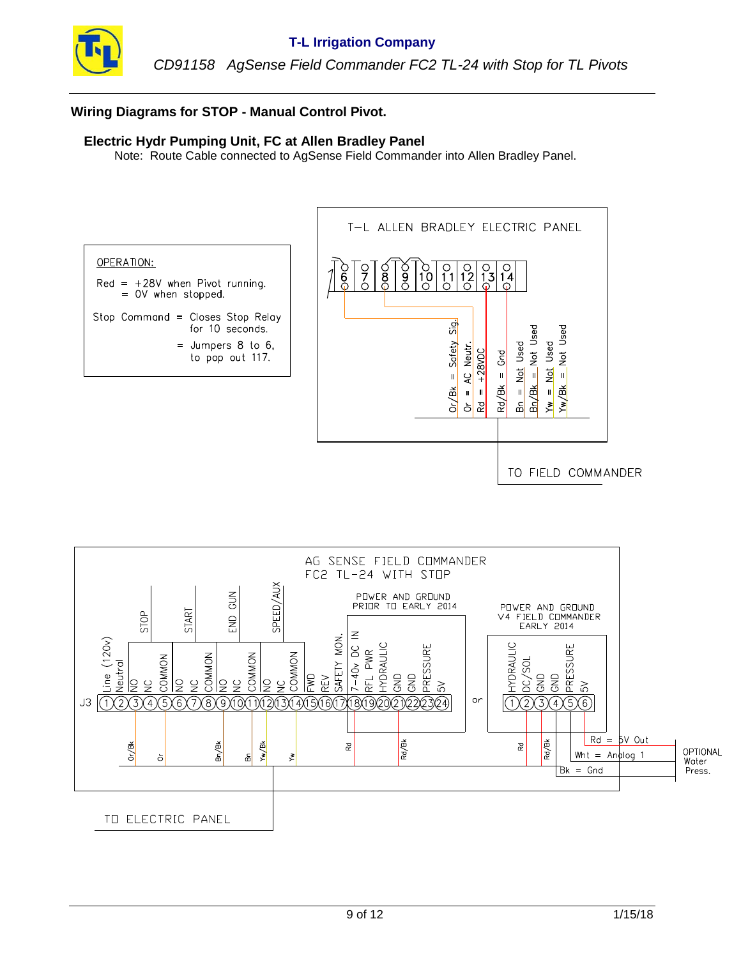

# **Wiring Diagrams for STOP - Manual Control Pivot.**

### **Electric Hydr Pumping Unit, FC at Allen Bradley Panel**

Note: Route Cable connected to AgSense Field Commander into Allen Bradley Panel.



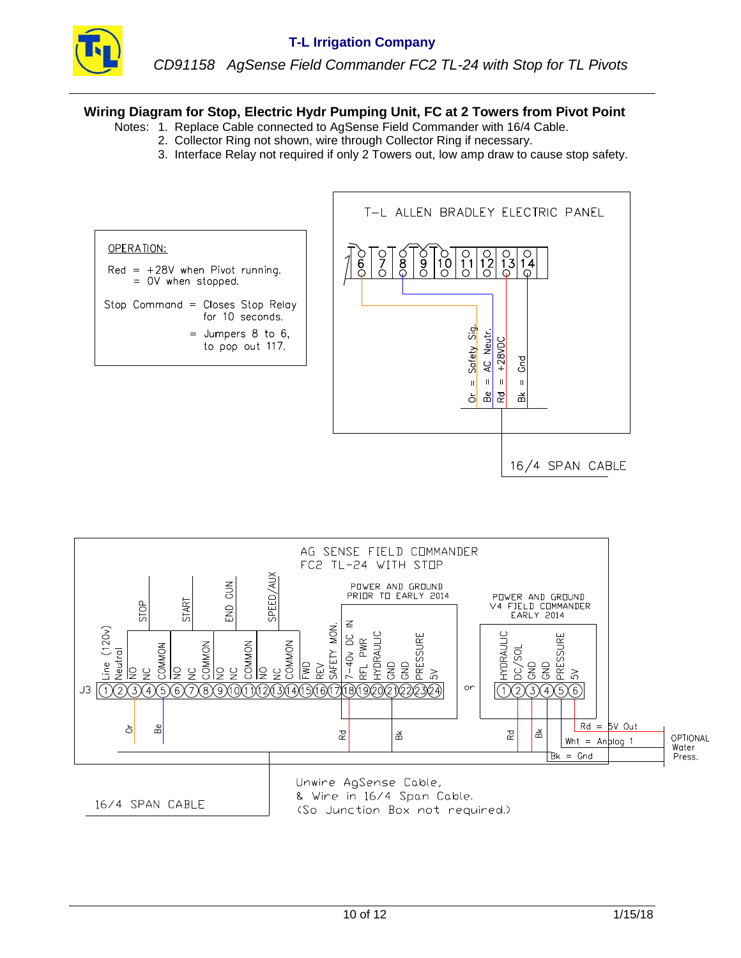

### **Wiring Diagram for Stop, Electric Hydr Pumping Unit, FC at 2 Towers from Pivot Point**

- Notes: 1. Replace Cable connected to AgSense Field Commander with 16/4 Cable.
	- 2. Collector Ring not shown, wire through Collector Ring if necessary.
	- 3. Interface Relay not required if only 2 Towers out, low amp draw to cause stop safety.



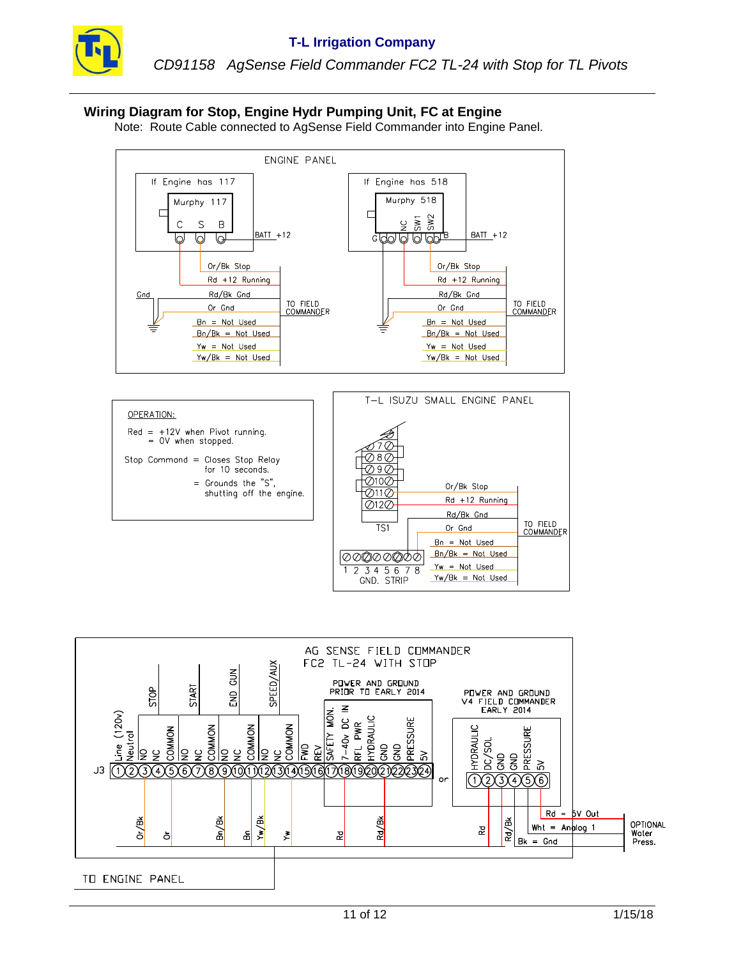

*CD91158 AgSense Field Commander FC2 TL-24 with Stop for TL Pivots*

# **Wiring Diagram for Stop, Engine Hydr Pumping Unit, FC at Engine**

Note: Route Cable connected to AgSense Field Commander into Engine Panel.





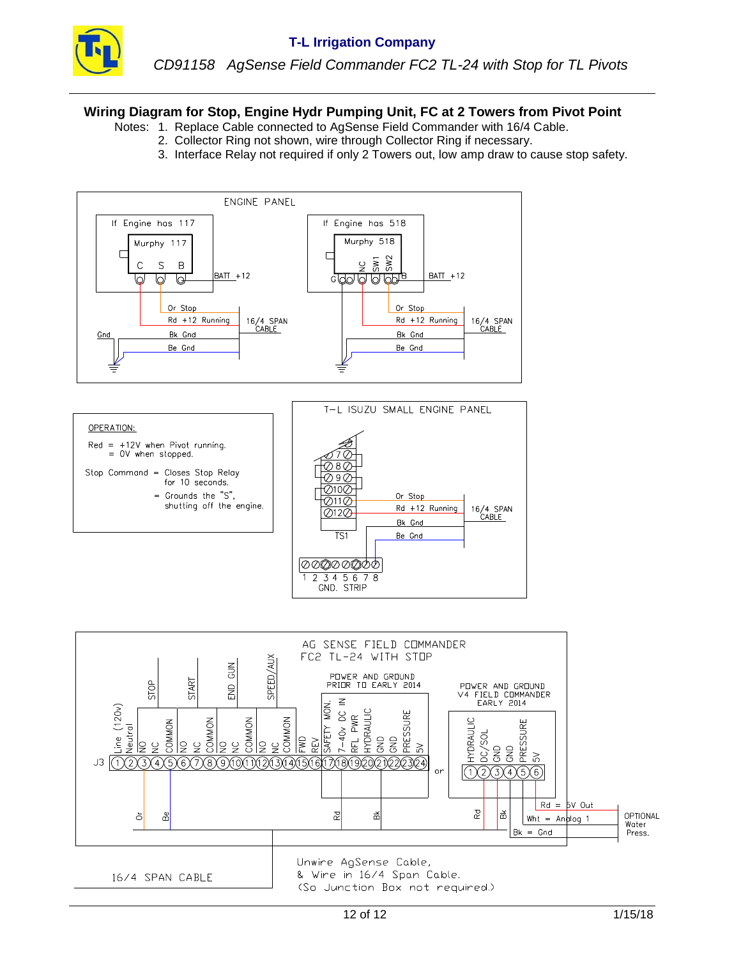

### **Wiring Diagram for Stop, Engine Hydr Pumping Unit, FC at 2 Towers from Pivot Point**

- Notes: 1. Replace Cable connected to AgSense Field Commander with 16/4 Cable.
	- 2. Collector Ring not shown, wire through Collector Ring if necessary.
	- 3. Interface Relay not required if only 2 Towers out, low amp draw to cause stop safety.